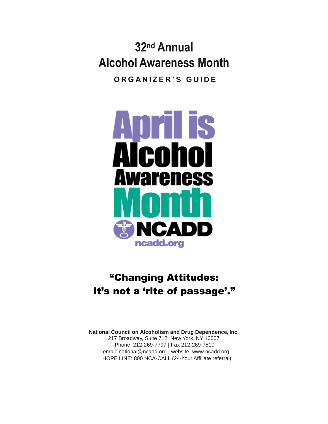**32nd Annual Alcohol Awareness Month O R G A N I Z E R ' S G U I D E**



# "Changing Attitudes: It's not a 'rite of passage'."

**National Council on Alcoholism and Drug Dependence, Inc.** 217 Broadway, Suite 712 New York, NY 10007 Phone: 212-269-7797 | Fax 212-269-7510 email: national@ncadd.org | website: www.ncadd.org HOPE LINE: 800 NCA-CALL (24-hour Affiliate referral)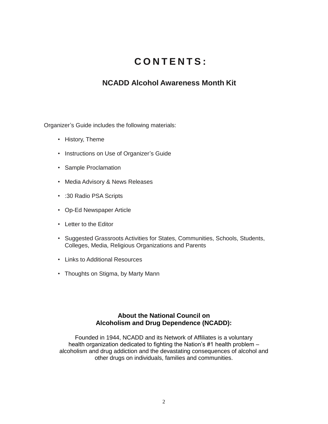### **C O N T E N T S :**

### **NCADD Alcohol Awareness Month Kit**

Organizer's Guide includes the following materials:

- History, Theme
- Instructions on Use of Organizer's Guide
- Sample Proclamation
- Media Advisory & News Releases
- :30 Radio PSA Scripts
- Op-Ed Newspaper Article
- Letter to the Editor
- Suggested Grassroots Activities for States, Communities, Schools, Students, Colleges, Media, Religious Organizations and Parents
- Links to Additional Resources
- Thoughts on Stigma, by Marty Mann

#### **About the National Council on Alcoholism and Drug Dependence (NCADD):**

Founded in 1944, NCADD and its Network of Affiliates is a voluntary health organization dedicated to fighting the Nation's #1 health problem – alcoholism and drug addiction and the devastating consequences of alcohol and other drugs on individuals, families and communities.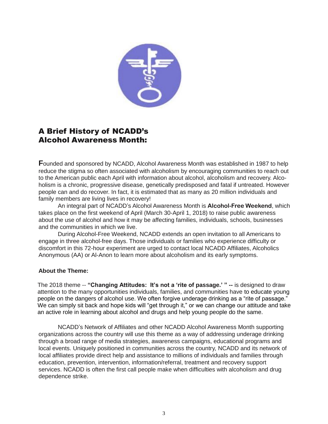

### A Brief History of NCADD's Alcohol Awareness Month:

**F**ounded and sponsored by NCADD, Alcohol Awareness Month was established in 1987 to help reduce the stigma so often associated with alcoholism by encouraging communities to reach out to the American public each April with information about alcohol, alcoholism and recovery. Alcoholism is a chronic, progressive disease, genetically predisposed and fatal if untreated. However people can and do recover. In fact, it is estimated that as many as 20 million individuals and family members are living lives in recovery!

An integral part of NCADD's Alcohol Awareness Month is **Alcohol-Free Weekend**, which takes place on the first weekend of April (March 30-April 1, 2018) to raise public awareness about the use of alcohol and how it may be affecting families, individuals, schools, businesses and the communities in which we live.

During Alcohol-Free Weekend, NCADD extends an open invitation to all Americans to engage in three alcohol-free days. Those individuals or families who experience difficulty or discomfort in this 72-hour experiment are urged to contact local NCADD Affiliates, Alcoholics Anonymous (AA) or Al-Anon to learn more about alcoholism and its early symptoms.

#### **About the Theme:**

The 2018 theme -- **"Changing Attitudes: It's not a 'rite of passage.' " --** is designed to draw attention to the many opportunities individuals, families, and communities have to educate young people on the dangers of alcohol use. We often forgive underage drinking as a "rite of passage." We can simply sit back and hope kids will "get through it," or we can change our attitude and take an active role in learning about alcohol and drugs and help young people do the same.

NCADD's Network of Affiliates and other NCADD Alcohol Awareness Month supporting organizations across the country will use this theme as a way of addressing underage drinking through a broad range of media strategies, awareness campaigns, educational programs and local events. Uniquely positioned in communities across the country, NCADD and its network of local affiliates provide direct help and assistance to millions of individuals and families through education, prevention, intervention, information/referral, treatment and recovery support services. NCADD is often the first call people make when difficulties with alcoholism and drug dependence strike.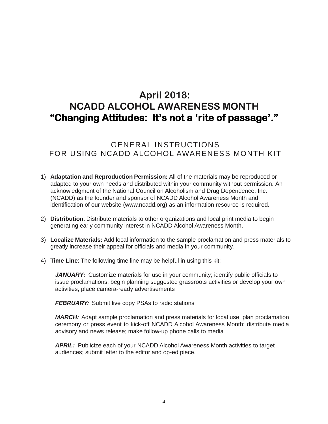### **April 2018: NCADD ALCOHOL AWARENESS MONTH "Changing Attitudes: It's not a 'rite of passage'."**

GENERAL INSTRUCTIONS FOR USING NCADD ALCOHOL AWARENESS MONTH KIT

- 1) **Adaptation and Reproduction Permission:** All of the materials may be reproduced or adapted to your own needs and distributed within your community without permission. An acknowledgment of the National Council on Alcoholism and Drug Dependence, Inc. (NCADD) as the founder and sponsor of NCADD Alcohol Awareness Month and identification of our website [\(www.ncadd.org\)](http://www.ncadd.org/) as an information resource is required.
- 2) **Distribution**: Distribute materials to other organizations and local print media to begin generating early community interest in NCADD Alcohol Awareness Month.
- 3) **Localize Materials:** Add local information to the sample proclamation and press materials to greatly increase their appeal for officials and media in your community.
- 4) **Time Line**: The following time line may be helpful in using this kit:

*JANUARY:* Customize materials for use in your community; identify public officials to issue proclamations; begin planning suggested grassroots activities or develop your own activities; place camera-ready advertisements

**FEBRUARY:** Submit live copy PSAs to radio stations

*MARCH:* Adapt sample proclamation and press materials for local use; plan proclamation ceremony or press event to kick-off NCADD Alcohol Awareness Month; distribute media advisory and news release; make follow-up phone calls to media

*APRIL:* Publicize each of your NCADD Alcohol Awareness Month activities to target audiences; submit letter to the editor and op-ed piece.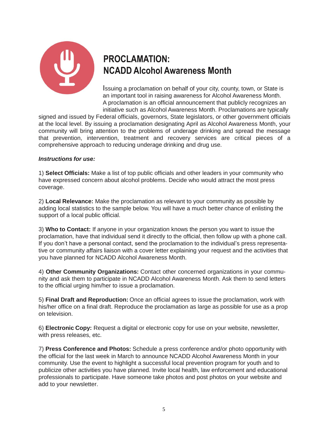

# **PROCLAMATION: NCADD Alcohol Awareness Month**

Issuing a proclamation on behalf of your city, county, town, or State is an important tool in raising awareness for Alcohol Awareness Month. A proclamation is an official announcement that publicly recognizes an initiative such as Alcohol Awareness Month. Proclamations are typically

signed and issued by Federal officials, governors, State legislators, or other government officials at the local level. By issuing a proclamation designating April as Alcohol Awareness Month, your community will bring attention to the problems of underage drinking and spread the message that prevention, intervention, treatment and recovery services are critical pieces of a comprehensive approach to reducing underage drinking and drug use.

#### *Instructions for use:*

1) **Select Officials:** Make a list of top public officials and other leaders in your community who have expressed concern about alcohol problems. Decide who would attract the most press coverage.

2) **Local Relevance:** Make the proclamation as relevant to your community as possible by adding local statistics to the sample below. You will have a much better chance of enlisting the support of a local public official.

3) **Who to Contact:** If anyone in your organization knows the person you want to issue the proclamation, have that individual send it directly to the official, then follow up with a phone call. If you don't have a personal contact, send the proclamation to the individual's press representative or community affairs liaison with a cover letter explaining your request and the activities that you have planned for NCADD Alcohol Awareness Month.

4) **Other Community Organizations:** Contact other concerned organizations in your community and ask them to participate in NCADD Alcohol Awareness Month. Ask them to send letters to the official urging him/her to issue a proclamation.

5) **Final Draft and Reproduction:** Once an official agrees to issue the proclamation, work with his/her office on a final draft. Reproduce the proclamation as large as possible for use as a prop on television.

6) **Electronic Copy:** Request a digital or electronic copy for use on your website, newsletter, with press releases, etc.

7) **Press Conference and Photos:** Schedule a press conference and/or photo opportunity with the official for the last week in March to announce NCADD Alcohol Awareness Month in your community. Use the event to highlight a successful local prevention program for youth and to publicize other activities you have planned. Invite local health, law enforcement and educational professionals to participate. Have someone take photos and post photos on your website and add to your newsletter.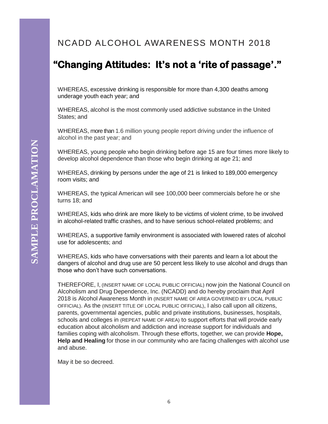### NCADD ALCOHOL AWARENESS MONTH 2018

# **"Changing Attitudes: It's not a 'rite of passage'."**

WHEREAS, excessive drinking is responsible for more than 4,300 deaths among underage youth each year; and

WHEREAS, alcohol is the most commonly used addictive substance in the United States; and

WHEREAS, more than 1.6 million young people report driving under the influence of alcohol in the past year; and

WHEREAS, young people who begin drinking before age 15 are four times more likely to develop alcohol dependence than those who begin drinking at age 21; and

WHEREAS, drinking by persons under the age of 21 is linked to 189,000 emergency room visits; and

WHEREAS, the typical American will see 100,000 beer commercials before he or she turns 18; and

WHEREAS, kids who drink are more likely to be victims of violent crime, to be involved in alcohol-related traffic crashes, and to have serious school-related problems; and

WHEREAS, a supportive family environment is associated with lowered rates of alcohol use for adolescents; and

WHEREAS, kids who have conversations with their parents and learn a lot about the dangers of alcohol and drug use are 50 percent less likely to use alcohol and drugs than those who don't have such conversations.

THEREFORE, I, (INSERT NAME OF LOCAL PUBLIC OFFICIAL) now join the National Council on Alcoholism and Drug Dependence, Inc. (NCADD) and do hereby proclaim that April 2018 is Alcohol Awareness Month in (INSERT NAME OF AREA GOVERNED BY LOCAL PUBLIC OFFICIAL). As the (INSERT TITLE OF LOCAL PUBLIC OFFICIAL), I also call upon all citizens, parents, governmental agencies, public and private institutions, businesses, hospitals, schools and colleges in (REPEAT NAME OF AREA) to support efforts that will provide early education about alcoholism and addiction and increase support for individuals and families coping with alcoholism. Through these efforts, together, we can provide **Hope, Help and Healing** for those in our community who are facing challenges with alcohol use and abuse.

May it be so decreed.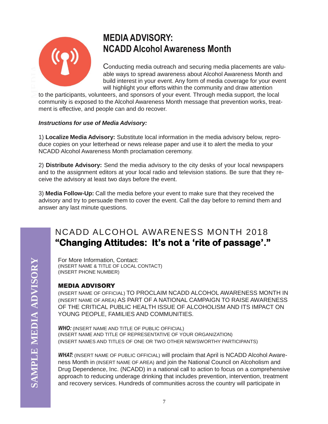

### **MEDIAADVISORY: NCADD Alcohol Awareness Month**

**ADVI AICONOI AWATENESS IVIONTIN**<br>
Conducting media outreach and securing media placements are vale<br>
able ways to spread awareness about Alcohol Awareness Month and<br>
build interest in your event. Any form of media coverage Conducting media outreach and securing media placements are valuable ways to spread awareness about Alcohol Awareness Month and build interest in your event. Any form of media coverage for your event will highlight your efforts within the community and draw attention

community is exposed to the Alcohol Awareness Month message that prevention works, treatment is effective, and people can and do recover.

#### *Instructions for use of Media Advisory:*

1) **Localize Media Advisory:** Substitute local information in the media advisory below, reproduce copies on your letterhead or news release paper and use it to alert the media to your NCADD Alcohol Awareness Month proclamation ceremony.

2) **Distribute Advisory:** Send the media advisory to the city desks of your local newspapers and to the assignment editors at your local radio and television stations. Be sure that they receive the advisory at least two days before the event.

3) **Media Follow-Up:** Call the media before your event to make sure that they received the advisory and try to persuade them to cover the event. Call the day before to remind them and answer any last minute questions.

### NCADD ALCOHOL AWARENESS MONTH 2018 **"Changing Attitudes: It's not a 'rite of passage'."**

For More Information, Contact: (INSERT NAME & TITLE OF LOCAL CONTACT) (INSERT PHONE NUMBER)

#### MEDIA ADVISORY

(INSERT NAME OF OFFICIAL) TO PROCLAIM NCADD ALCOHOL AWARENESS MONTH IN (INSERT NAME OF AREA) AS PART OF A NATIONAL CAMPAIGN TO RAISE AWARENESS OF THE CRITICAL PUBLIC HEALTH ISSUE OF ALCOHOLISM AND ITS IMPACT ON YOUNG PEOPLE, FAMILIES AND COMMUNITIES.

*WHO:* (INSERT NAME AND TITLE OF PUBLIC OFFICIAL) (INSERT NAME AND TITLE OF REPRESENTATIVE OF YOUR ORGANIZATION) (INSERT NAMES AND TITLES OF ONE OR TWO OTHER NEWSWORTHY PARTICIPANTS)

*WHAT:* (INSERT NAME OF PUBLIC OFFICIAL) will proclaim that April is NCADD Alcohol Awareness Month in (INSERT NAME OF AREA) and join the National Council on Alcoholism and Drug Dependence, Inc. (NCADD) in a national call to action to focus on a comprehensive approach to reducing underage drinking that includes prevention, intervention, treatment and recovery services. Hundreds of communities across the country will participate in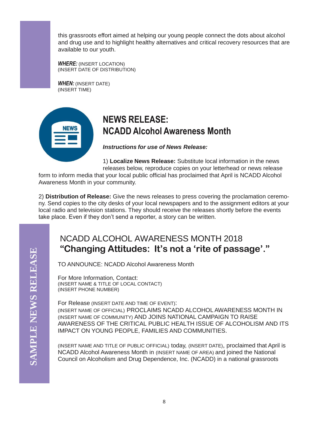this grassroots effort aimed at helping our young people connect the dots about alcohol and drug use and to highlight healthy alternatives and critical recovery resources that are available to our youth.

*WHERE:* (INSERT LOCATION) (INSERT DATE OF DISTRIBUTION)

*WHEN:* (INSERT DATE) (INSERT TIME)



### **NEWS RELEASE: NCADD Alcohol Awareness Month**

*Instructions for use of News Release:*

1) **Localize News Release:** Substitute local information in the news releases below, reproduce copies on your letterhead or news release

form to inform media that your local public official has proclaimed that April is NCADD Alcohol Awareness Month in your community.

2) **Distribution of Release:** Give the news releases to press covering the proclamation ceremony. Send copies to the city desks of your local newspapers and to the assignment editors at your local radio and television stations. They should receive the releases shortly before the events take place. Even if they don't send a reporter, a story can be written.

### NCADD ALCOHOL AWARENESS MONTH 2018 **"Changing Attitudes: It's not a 'rite of passage'."**

TO ANNOUNCE: NCADD Alcohol Awareness Month

For More Information, Contact: (INSERT NAME & TITLE OF LOCAL CONTACT) (INSERT PHONE NUMBER)

For Release (INSERT DATE AND TIME OF EVENT): (INSERT NAME OF OFFICIAL) PROCLAIMS NCADD ALCOHOL AWARENESS MONTH IN (INSERT NAME OF COMMUNITY) AND JOINS NATIONAL CAMPAIGN TO RAISE AWARENESS OF THE CRITICAL PUBLIC HEALTH ISSUE OF ALCOHOLISM AND ITS IMPACT ON YOUNG PEOPLE, FAMILIES AND COMMUNITIES.

(INSERT NAME AND TITLE OF PUBLIC OFFICIAL) today, (INSERT DATE), proclaimed that April is NCADD Alcohol Awareness Month in (INSERT NAME OF AREA) and joined the National Council on Alcoholism and Drug Dependence, Inc. (NCADD) in a national grassroots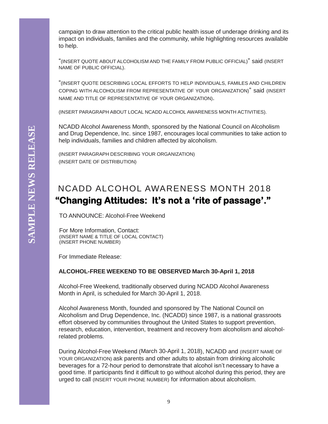campaign to draw attention to the critical public health issue of underage drinking and its impact on individuals, families and the community, while highlighting resources available to help.

"(INSERT QUOTE ABOUT ALCOHOLISM AND THE FAMILY FROM PUBLIC OFFICIAL)" said (INSERT NAME OF PUBLIC OFFICIAL).

"(INSERT QUOTE DESCRIBING LOCAL EFFORTS TO HELP INDIVIDUALS, FAMILES AND CHILDREN COPING WITH ALCOHOLISM FROM REPRESENTATIVE OF YOUR ORGANIZATION)" said (INSERT NAME AND TITLE OF REPRESENTATIVE OF YOUR ORGANIZATION).

(INSERT PARAGRAPH ABOUT LOCAL NCADD ALCOHOL AWARENESS MONTH ACTIVITIES).

NCADD Alcohol Awareness Month, sponsored by the National Council on Alcoholism and Drug Dependence, Inc. since 1987, encourages local communities to take action to help individuals, families and children affected by alcoholism.

(INSERT PARAGRAPH DESCRIBING YOUR ORGANIZATION) (INSERT DATE OF DISTRIBUTION)

### NCADD ALCOHOL AWARENESS MONTH 2018  **"Changing Attitudes: It's not a 'rite of passage'."**

TO ANNOUNCE: Alcohol-Free Weekend

For More Information, Contact: (INSERT NAME & TITLE OF LOCAL CONTACT) (INSERT PHONE NUMBER)

For Immediate Release:

#### **ALCOHOL-FREE WEEKEND TO BE OBSERVED March 30-April 1, 2018**

Alcohol-Free Weekend, traditionally observed during NCADD Alcohol Awareness Month in April, is scheduled for March 30-April 1, 2018.

Alcohol Awareness Month, founded and sponsored by The National Council on Alcoholism and Drug Dependence, Inc. (NCADD) since 1987, is a national grassroots effort observed by communities throughout the United States to support prevention, research, education, intervention, treatment and recovery from alcoholism and alcoholrelated problems.

During Alcohol-Free Weekend (March 30-April 1, 2018), NCADD and (INSERT NAME OF YOUR ORGANIZATION) ask parents and other adults to abstain from drinking alcoholic beverages for a 72-hour period to demonstrate that alcohol isn't necessary to have a good time. If participants find it difficult to go without alcohol during this period, they are urged to call (INSERT YOUR PHONE NUMBER) for information about alcoholism.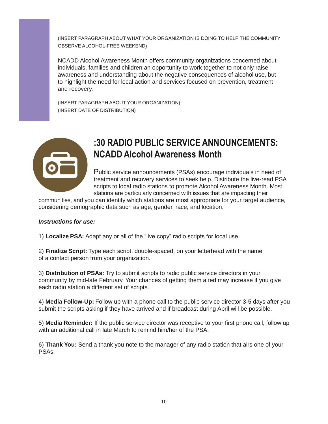(INSERT PARAGRAPH ABOUT WHAT YOUR ORGANIZATION IS DOING TO HELP THE COMMUNITY OBSERVE ALCOHOL-FREE WEEKEND)

NCADD Alcohol Awareness Month offers community organizations concerned about individuals, families and children an opportunity to work together to not only raise awareness and understanding about the negative consequences of alcohol use, but to highlight the need for local action and services focused on prevention, treatment and recovery.

(INSERT PARAGRAPH ABOUT YOUR ORGANIZATION) (INSERT DATE OF DISTRIBUTION)



### **:30 RADIO PUBLIC SERVICE ANNOUNCEMENTS: NCADD Alcohol Awareness Month**

Public service announcements (PSAs) encourage individuals in need of treatment and recovery services to seek help. Distribute the live-read PSA scripts to local radio stations to promote Alcohol Awareness Month. Most stations are particularly concerned with issues that are impacting their

communities, and you can identify which stations are most appropriate for your target audience, considering demographic data such as age, gender, race, and location.

#### *Instructions for use:*

1) **Localize PSA:** Adapt any or all of the "live copy" radio scripts for local use.

2) **Finalize Script:** Type each script, double-spaced, on your letterhead with the name of a contact person from your organization.

3) **Distribution of PSAs:** Try to submit scripts to radio public service directors in your community by mid-late February. Your chances of getting them aired may increase if you give each radio station a different set of scripts.

4) **Media Follow-Up:** Follow up with a phone call to the public service director 3-5 days after you submit the scripts asking if they have arrived and if broadcast during April will be possible.

5) **Media Reminder:** If the public service director was receptive to your first phone call, follow up with an additional call in late March to remind him/her of the PSA.

6) **Thank You:** Send a thank you note to the manager of any radio station that airs one of your PSAs.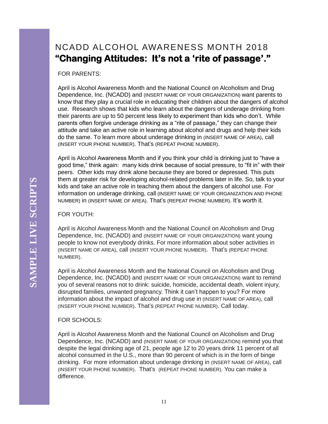### NCADD ALCOHOL AWARENESS MONTH 2018 **"Changing Attitudes: It's not a 'rite of passage'."**

FOR PARENTS:

April is Alcohol Awareness Month and the National Council on Alcoholism and Drug Dependence, Inc. (NCADD) and (INSERT NAME OF YOUR ORGANIZATION) want parents to know that they play a crucial role in educating their children about the dangers of alcohol use. Research shows that kids who learn about the dangers of underage drinking from their parents are up to 50 percent less likely to experiment than kids who don't. While parents often forgive underage drinking as a "rite of passage," they can change their attitude and take an active role in learning about alcohol and drugs and help their kids do the same. To learn more about underage drinking in (INSERT NAME OF AREA), call (INSERT YOUR PHONE NUMBER). That's (REPEAT PHONE NUMBER).

April is Alcohol Awareness Month and if you think your child is drinking just to "have a good time," think again: many kids drink because of social pressure, to "fit in" with their peers. Other kids may drink alone because they are bored or depressed. This puts them at greater risk for developing alcohol-related problems later in life. So, talk to your kids and take an active role in teaching them about the dangers of alcohol use. For information on underage drinking, call (INSERT NAME OF YOUR ORGANIZATION AND PHONE NUMBER) in (INSERT NAME OF AREA). That's (REPEAT PHONE NUMBER). It's worth it.

FOR YOUTH:

April is Alcohol Awareness Month and the National Council on Alcoholism and Drug Dependence, Inc. (NCADD) and (INSERT NAME OF YOUR ORGANIZATION) want young people to know not everybody drinks. For more information about sober activities in (INSERT NAME OF AREA), call (INSERT YOUR PHONE NUMBER). That's (REPEAT PHONE NUMBER).

April is Alcohol Awareness Month and the National Council on Alcoholism and Drug Dependence, Inc. (NCADD) and (INSERT NAME OF YOUR ORGANIZATION) want to remind you of several reasons not to drink: suicide, homicide, accidental death, violent injury, disrupted families, unwanted pregnancy. Think it can't happen to you? For more information about the impact of alcohol and drug use in (INSERT NAME OF AREA), call (INSERT YOUR PHONE NUMBER). That's (REPEAT PHONE NUMBER). Call today.

#### FOR SCHOOLS:

April is Alcohol Awareness Month and the National Council on Alcoholism and Drug Dependence, Inc. (NCADD) and (INSERT NAME OF YOUR ORGANIZATION) remind you that despite the legal drinking age of 21, people age 12 to 20 years drink 11 percent of all alcohol consumed in the U.S., more than 90 percent of which is in the form of binge drinking. For more information about underage drinking in (INSERT NAME OF AREA), call (INSERT YOUR PHONE NUMBER). That's (REPEAT PHONE NUMBER). You can make a difference.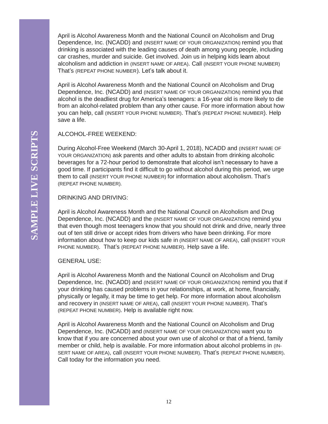April is Alcohol Awareness Month and the National Council on Alcoholism and Drug Dependence, Inc. (NCADD) and (INSERT NAME OF YOUR ORGANIZATION) remind you that drinking is associated with the leading causes of death among young people, including car crashes, murder and suicide. Get involved. Join us in helping kids learn about alcoholism and addiction in (INSERT NAME OF AREA). Call (INSERT YOUR PHONE NUMBER) That's (REPEAT PHONE NUMBER). Let's talk about it.

April is Alcohol Awareness Month and the National Council on Alcoholism and Drug Dependence, Inc. (NCADD) and (INSERT NAME OF YOUR ORGANIZATION) remind you that alcohol is the deadliest drug for America's teenagers: a 16-year old is more likely to die from an alcohol-related problem than any other cause. For more information about how you can help, call (INSERT YOUR PHONE NUMBER). That's (REPEAT PHONE NUMBER). Help save a life.

#### ALCOHOL-FREE WEEKEND:

During Alcohol-Free Weekend (March 30-April 1, 2018), NCADD and (INSERT NAME OF YOUR ORGANIZATION) ask parents and other adults to abstain from drinking alcoholic beverages for a 72-hour period to demonstrate that alcohol isn't necessary to have a good time. If participants find it difficult to go without alcohol during this period, we urge them to call (INSERT YOUR PHONE NUMBER) for information about alcoholism. That's (REPEAT PHONE NUMBER).

DRINKING AND DRIVING:

April is Alcohol Awareness Month and the National Council on Alcoholism and Drug Dependence, Inc. (NCADD) and the (INSERT NAME OF YOUR ORGANIZATION) remind you that even though most teenagers know that you should not drink and drive, nearly three out of ten still drive or accept rides from drivers who have been drinking. For more information about how to keep our kids safe in (INSERT NAME OF AREA), call (INSERT YOUR PHONE NUMBER). That's (REPEAT PHONE NUMBER). Help save a life.

#### GENERAL USE:

April is Alcohol Awareness Month and the National Council on Alcoholism and Drug Dependence, Inc. (NCADD) and (INSERT NAME OF YOUR ORGANIZATION) remind you that if your drinking has caused problems in your relationships, at work, at home, financially, physically or legally, it may be time to get help. For more information about alcoholism and recovery in (INSERT NAME OF AREA), call (INSERT YOUR PHONE NUMBER). That's (REPEAT PHONE NUMBER). Help is available right now.

April is Alcohol Awareness Month and the National Council on Alcoholism and Drug Dependence, Inc. (NCADD) and (INSERT NAME OF YOUR ORGANIZATION) want you to know that if you are concerned about your own use of alcohol or that of a friend, family member or child, help is available. For more information about alcohol problems in (IN-SERT NAME OF AREA), call (INSERT YOUR PHONE NUMBER). That's (REPEAT PHONE NUMBER). Call today for the information you need.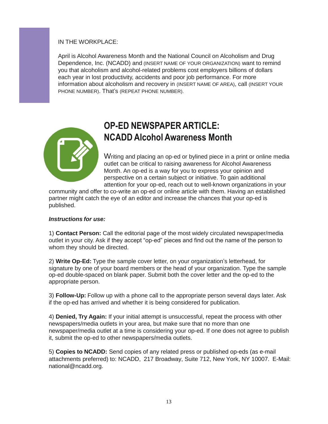#### IN THE WORKPLACE:

April is Alcohol Awareness Month and the National Council on Alcoholism and Drug Dependence, Inc. (NCADD) and (INSERT NAME OF YOUR ORGANIZATION) want to remind you that alcoholism and alcohol-related problems cost employers billions of dollars each year in lost productivity, accidents and poor job performance. For more information about alcoholism and recovery in (INSERT NAME OF AREA), call (INSERT YOUR PHONE NUMBER). That's (REPEAT PHONE NUMBER).



### **OP-ED NEWSPAPERARTICLE: NCADD Alcohol Awareness Month**

Writing and placing an op-ed or bylined piece in a print or online media outlet can be critical to raising awareness for Alcohol Awareness Month. An op-ed is a way for you to express your opinion and perspective on a certain subject or initiative. To gain additional attention for your op-ed, reach out to well-known organizations in your

community and offer to co-write an op-ed or online article with them. Having an established partner might catch the eye of an editor and increase the chances that your op-ed is published.

#### *Instructions for use:*

1) **Contact Person:** Call the editorial page of the most widely circulated newspaper/media outlet in your city. Ask if they accept "op-ed" pieces and find out the name of the person to whom they should be directed.

2) **Write Op-Ed:** Type the sample cover letter, on your organization's letterhead, for signature by one of your board members or the head of your organization. Type the sample op-ed double-spaced on blank paper. Submit both the cover letter and the op-ed to the appropriate person.

3) **Follow-Up:** Follow up with a phone call to the appropriate person several days later. Ask if the op-ed has arrived and whether it is being considered for publication.

4) **Denied, Try Again:** If your initial attempt is unsuccessful, repeat the process with other newspapers/media outlets in your area, but make sure that no more than one newspaper/media outlet at a time is considering your op-ed. If one does not agree to publish it, submit the op-ed to other newspapers/media outlets.

5) **Copies to NCADD:** Send copies of any related press or published op-eds (as e-mail attachments preferred) to: NCADD, 217 Broadway, Suite 712, New York, NY 10007. E-Mail: national@ncadd.org.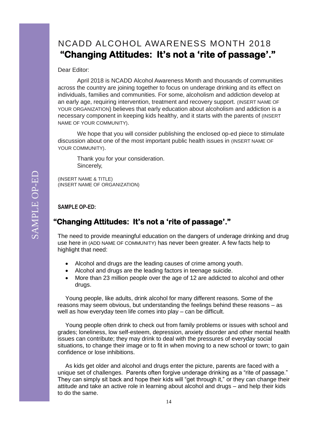### NCADD ALCOHOL AWARENESS MONTH 2018  **"Changing Attitudes: It's not a 'rite of passage'."**

#### Dear Editor:

April 2018 is NCADD Alcohol Awareness Month and thousands of communities across the country are joining together to focus on underage drinking and its effect on individuals, families and communities. For some, alcoholism and addiction develop at an early age, requiring intervention, treatment and recovery support. (INSERT NAME OF YOUR ORGANIZATION) believes that early education about alcoholism and addiction is a necessary component in keeping kids healthy, and it starts with the parents of (INSERT NAME OF YOUR COMMUNITY).

We hope that you will consider publishing the enclosed op-ed piece to stimulate discussion about one of the most important public health issues in (INSERT NAME OF YOUR COMMUNITY).

Thank you for your consideration. Sincerely,

(INSERT NAME & TITLE) (INSERT NAME OF ORGANIZATION)

**SAMPLE OP-ED:**

### **"Changing Attitudes: It's not a 'rite of passage'."**

The need to provide meaningful education on the dangers of underage drinking and drug use here in (ADD NAME OF COMMUNITY) has never been greater. A few facts help to highlight that need:

- Alcohol and drugs are the leading causes of crime among youth.
- Alcohol and drugs are the leading factors in teenage suicide.
- More than 23 million people over the age of 12 are addicted to alcohol and other drugs.

Young people, like adults, drink alcohol for many different reasons. Some of the reasons may seem obvious, but understanding the feelings behind these reasons – as well as how everyday teen life comes into play – can be difficult.

Young people often drink to check out from family problems or issues with school and grades; loneliness, low self-esteem, depression, anxiety disorder and other mental health issues can contribute; they may drink to deal with the pressures of everyday social situations, to change their image or to fit in when moving to a new school or town; to gain confidence or lose inhibitions.

As kids get older and alcohol and drugs enter the picture, parents are faced with a unique set of challenges. Parents often forgive underage drinking as a "rite of passage." They can simply sit back and hope their kids will "get through it," or they can change their attitude and take an active role in learning about alcohol and drugs – and help their kids to do the same.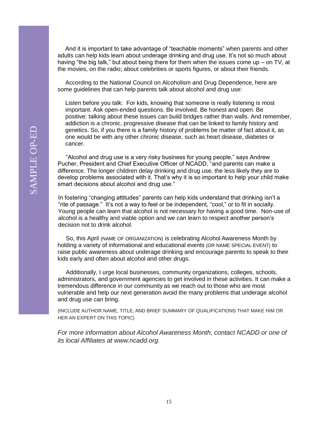And it is important to take advantage of "teachable moments" when parents and other adults can help kids learn about underage drinking and drug use. It's not so much about having "the big talk," but about being there for them when the issues come up – on TV, at the movies, on the radio; about celebrities or sports figures, or about their friends.

According to the National Council on Alcoholism and Drug Dependence, here are some guidelines that can help parents talk about alcohol and drug use:

Listen before you talk: For kids, knowing that someone is really listening is most important. Ask open-ended questions. Be involved. Be honest and open. Be positive: talking about these issues can build bridges rather than walls. And remember, addiction is a chronic, progressive disease that can be linked to family history and genetics. So, if you there is a family history of problems be matter of fact about it, as one would be with any other chronic disease, such as heart disease, diabetes or cancer.

 "Alcohol and drug use is a very risky business for young people," says Andrew Pucher, President and Chief Executive Officer of NCADD, "and parents can make a difference. The longer children delay drinking and drug use, the less likely they are to develop problems associated with it. That's why it is so important to help your child make smart decisions about alcohol and drug use."

In fostering "changing attitudes" parents can help kids understand that drinking isn't a "rite of passage." It's not a way to feel or be independent, "cool," or to fit in socially. Young people can learn that alcohol is not necessary for having a good time. Non-use of alcohol is a healthy and viable option and we can learn to respect another person's decision not to drink alcohol.

 So, this April (NAME OF ORGANIZATION) is celebrating Alcohol Awareness Month by holding a variety of informational and educational events (OR NAME SPECIAL EVENT) to raise public awareness about underage drinking and encourage parents to speak to their kids early and often about alcohol and other drugs.

 Additionally, I urge local businesses, community organizations, colleges, schools, administrators, and government agencies to get involved in these activities. It can make a tremendous difference in our community as we reach out to those who are most vulnerable and help our next generation avoid the many problems that underage alcohol and drug use can bring.

(INCLUDE AUTHOR NAME, TITLE, AND BRIEF SUMMARY OF QUALIFICATIONS THAT MAKE HIM OR HER AN EXPERT ON THIS TOPIC)

*For more information about Alcohol Awareness Month, contact NCADD or one of its local Affiliates at [www.ncadd.org.](http://www.ncadd.org/)*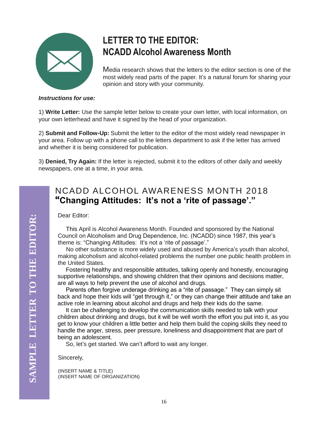

# **LETTER TO THE EDITOR: NCADD Alcohol Awareness Month**

Media research shows that the letters to the editor section is one of the most widely read parts of the paper. It's a natural forum for sharing your opinion and story with your community.

#### *Instructions for use:*

1) **Write Letter:** Use the sample letter below to create your own letter, with local information, on your own letterhead and have it signed by the head of your organization.

2) **Submit and Follow-Up:** Submit the letter to the editor of the most widely read newspaper in your area. Follow up with a phone call to the letters department to ask if the letter has arrived and whether it is being considered for publication.

3) **Denied, Try Again:** If the letter is rejected, submit it to the editors of other daily and weekly newspapers, one at a time, in your area.

### NCADD ALCOHOL AWARENESS MONTH 2018 **"Changing Attitudes: It's not a 'rite of passage'."**

Dear Editor:

 This April is Alcohol Awareness Month. Founded and sponsored by the National Council on Alcoholism and Drug Dependence, Inc. (NCADD) since 1987, this year's theme is: "Changing Attitudes: It's not a 'rite of passage'."

 No other substance is more widely used and abused by America's youth than alcohol, making alcoholism and alcohol-related problems the number one public health problem in the United States.

 Fostering healthy and responsible attitudes, talking openly and honestly, encouraging supportive relationships, and showing children that their opinions and decisions matter, are all ways to help prevent the use of alcohol and drugs.

 Parents often forgive underage drinking as a "rite of passage." They can simply sit back and hope their kids will "get through it," or they can change their attitude and take an active role in learning about alcohol and drugs and help their kids do the same.

 It can be challenging to develop the communication skills needed to talk with your children about drinking and drugs, but it will be well worth the effort you put into it, as you get to know your children a little better and help them build the coping skills they need to handle the anger, stress, peer pressure, loneliness and disappointment that are part of being an adolescent.

So, let's get started. We can't afford to wait any longer.

Sincerely,

(INSERT NAME & TITLE) (INSERT NAME OF ORGANIZATION)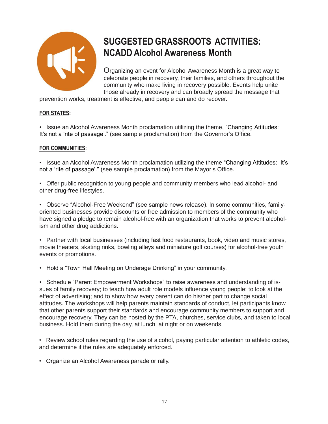

# **SUGGESTED GRASSROOTS ACTIVITIES: NCADD Alcohol Awareness Month**

Organizing an event for Alcohol Awareness Month is a great way to celebrate people in recovery, their families, and others throughout the community who make living in recovery possible. Events help unite those already in recovery and can broadly spread the message that

prevention works, treatment is effective, and people can and do recover.

#### **FOR STATES:**

• Issue an Alcohol Awareness Month proclamation utilizing the theme, "Changing Attitudes: It's not a 'rite of passage'." (see sample proclamation) from the Governor's Office.

#### **FOR COMMUNITIES:**

• Issue an Alcohol Awareness Month proclamation utilizing the theme "Changing Attitudes: It's not a 'rite of passage'." (see sample proclamation) from the Mayor's Office.

• Offer public recognition to young people and community members who lead alcohol- and other drug-free lifestyles.

• Observe "Alcohol-Free Weekend" (see sample news release). In some communities, familyoriented businesses provide discounts or free admission to members of the community who have signed a pledge to remain alcohol-free with an organization that works to prevent alcoholism and other drug addictions.

• Partner with local businesses (including fast food restaurants, book, video and music stores, movie theaters, skating rinks, bowling alleys and miniature golf courses) for alcohol-free youth events or promotions.

• Hold a "Town Hall Meeting on Underage Drinking" in your community.

• Schedule "Parent Empowerment Workshops" to raise awareness and understanding of issues of family recovery; to teach how adult role models influence young people; to look at the effect of advertising; and to show how every parent can do his/her part to change social attitudes. The workshops will help parents maintain standards of conduct, let participants know that other parents support their standards and encourage community members to support and encourage recovery. They can be hosted by the PTA, churches, service clubs, and taken to local business. Hold them during the day, at lunch, at night or on weekends.

• Review school rules regarding the use of alcohol, paying particular attention to athletic codes, and determine if the rules are adequately enforced.

• Organize an Alcohol Awareness parade or rally.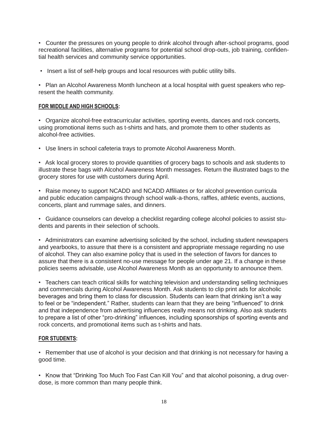• Counter the pressures on young people to drink alcohol through after-school programs, good recreational facilities, alternative programs for potential school drop-outs, job training, confidential health services and community service opportunities.

• Insert a list of self-help groups and local resources with public utility bills.

• Plan an Alcohol Awareness Month luncheon at a local hospital with guest speakers who represent the health community.

#### **FOR MIDDLE AND HIGH SCHOOLS:**

• Organize alcohol-free extracurricular activities, sporting events, dances and rock concerts, using promotional items such as t-shirts and hats, and promote them to other students as alcohol-free activities.

• Use liners in school cafeteria trays to promote Alcohol Awareness Month.

• Ask local grocery stores to provide quantities of grocery bags to schools and ask students to illustrate these bags with Alcohol Awareness Month messages. Return the illustrated bags to the grocery stores for use with customers during April.

• Raise money to support NCADD and NCADD Affiliates or for alcohol prevention curricula and public education campaigns through school walk-a-thons, raffles, athletic events, auctions, concerts, plant and rummage sales, and dinners.

• Guidance counselors can develop a checklist regarding college alcohol policies to assist students and parents in their selection of schools.

• Administrators can examine advertising solicited by the school, including student newspapers and yearbooks, to assure that there is a consistent and appropriate message regarding no use of alcohol. They can also examine policy that is used in the selection of favors for dances to assure that there is a consistent no-use message for people under age 21. If a change in these policies seems advisable, use Alcohol Awareness Month as an opportunity to announce them.

• Teachers can teach critical skills for watching television and understanding selling techniques and commercials during Alcohol Awareness Month. Ask students to clip print ads for alcoholic beverages and bring them to class for discussion. Students can learn that drinking isn't a way to feel or be "independent." Rather, students can learn that they are being "influenced" to drink and that independence from advertising influences really means not drinking. Also ask students to prepare a list of other "pro-drinking" influences, including sponsorships of sporting events and rock concerts, and promotional items such as t-shirts and hats.

#### **FOR STUDENTS:**

• Remember that use of alcohol is your decision and that drinking is not necessary for having a good time.

• Know that "Drinking Too Much Too Fast Can Kill You" and that alcohol poisoning, a drug overdose, is more common than many people think.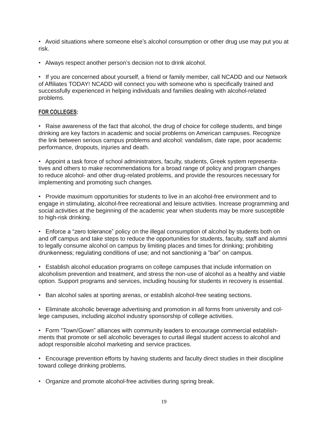• Avoid situations where someone else's alcohol consumption or other drug use may put you at risk.

• Always respect another person's decision not to drink alcohol.

• If you are concerned about yourself, a friend or family member, call NCADD and our Network of Affiliates TODAY! NCADD will connect you with someone who is specifically trained and successfully experienced in helping individuals and families dealing with alcohol-related problems.

#### **FOR COLLEGES:**

• Raise awareness of the fact that alcohol, the drug of choice for college students, and binge drinking are key factors in academic and social problems on American campuses. Recognize the link between serious campus problems and alcohol: vandalism, date rape, poor academic performance, dropouts, injuries and death.

• Appoint a task force of school administrators, faculty, students, Greek system representatives and others to make recommendations for a broad range of policy and program changes to reduce alcohol- and other drug-related problems, and provide the resources necessary for implementing and promoting such changes.

• Provide maximum opportunities for students to live in an alcohol-free environment and to engage in stimulating, alcohol-free recreational and leisure activities. Increase programming and social activities at the beginning of the academic year when students may be more susceptible to high-risk drinking.

• Enforce a "zero tolerance" policy on the illegal consumption of alcohol by students both on and off campus and take steps to reduce the opportunities for students, faculty, staff and alumni to legally consume alcohol on campus by limiting places and times for drinking; prohibiting drunkenness; regulating conditions of use; and not sanctioning a "bar" on campus.

• Establish alcohol education programs on college campuses that include information on alcoholism prevention and treatment, and stress the non-use of alcohol as a healthy and viable option. Support programs and services, including housing for students in recovery is essential.

• Ban alcohol sales at sporting arenas, or establish alcohol-free seating sections.

• Eliminate alcoholic beverage advertising and promotion in all forms from university and college campuses, including alcohol industry sponsorship of college activities.

• Form "Town/Gown" alliances with community leaders to encourage commercial establishments that promote or sell alcoholic beverages to curtail illegal student access to alcohol and adopt responsible alcohol marketing and service practices.

• Encourage prevention efforts by having students and faculty direct studies in their discipline toward college drinking problems.

• Organize and promote alcohol-free activities during spring break.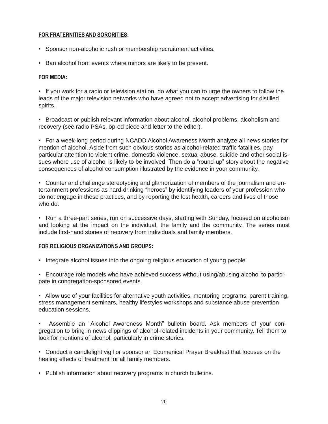#### **FOR FRATERNITIESAND SORORITIES:**

- Sponsor non-alcoholic rush or membership recruitment activities.
- Ban alcohol from events where minors are likely to be present.

#### **FOR MEDIA:**

• If you work for a radio or television station, do what you can to urge the owners to follow the leads of the major television networks who have agreed not to accept advertising for distilled spirits.

• Broadcast or publish relevant information about alcohol, alcohol problems, alcoholism and recovery (see radio PSAs, op-ed piece and letter to the editor).

• For a week-long period during NCADD Alcohol Awareness Month analyze all news stories for mention of alcohol. Aside from such obvious stories as alcohol-related traffic fatalities, pay particular attention to violent crime, domestic violence, sexual abuse, suicide and other social issues where use of alcohol is likely to be involved. Then do a "round-up" story about the negative consequences of alcohol consumption illustrated by the evidence in your community.

• Counter and challenge stereotyping and glamorization of members of the journalism and entertainment professions as hard-drinking "heroes" by identifying leaders of your profession who do not engage in these practices, and by reporting the lost health, careers and lives of those who do.

• Run a three-part series, run on successive days, starting with Sunday, focused on alcoholism and looking at the impact on the individual, the family and the community. The series must include first-hand stories of recovery from individuals and family members.

#### **FOR RELIGIOUS ORGANIZATIONS AND GROUPS:**

- Integrate alcohol issues into the ongoing religious education of young people.
- Encourage role models who have achieved success without using/abusing alcohol to participate in congregation-sponsored events.

• Allow use of your facilities for alternative youth activities, mentoring programs, parent training, stress management seminars, healthy lifestyles workshops and substance abuse prevention education sessions.

• Assemble an "Alcohol Awareness Month" bulletin board. Ask members of your congregation to bring in news clippings of alcohol-related incidents in your community. Tell them to look for mentions of alcohol, particularly in crime stories.

• Conduct a candlelight vigil or sponsor an Ecumenical Prayer Breakfast that focuses on the healing effects of treatment for all family members.

• Publish information about recovery programs in church bulletins.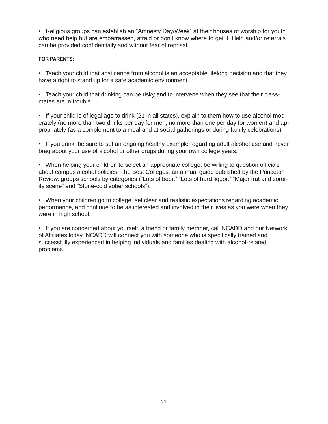• Religious groups can establish an "Amnesty Day/Week" at their houses of worship for youth who need help but are embarrassed, afraid or don't know where to get it. Help and/or referrals can be provided confidentially and without fear of reprisal.

#### **FOR PARENTS:**

• Teach your child that abstinence from alcohol is an acceptable lifelong decision and that they have a right to stand up for a safe academic environment.

• Teach your child that drinking can be risky and to intervene when they see that their classmates are in trouble.

• If your child is of legal age to drink (21 in all states), explain to them how to use alcohol moderately (no more than two drinks per day for men, no more than one per day for women) and appropriately (as a complement to a meal and at social gatherings or during family celebrations).

• If you drink, be sure to set an ongoing healthy example regarding adult alcohol use and never brag about your use of alcohol or other drugs during your own college years.

• When helping your children to select an appropriate college, be willing to question officials about campus alcohol policies. The Best Colleges, an annual guide published by the Princeton Review, groups schools by categories ("Lots of beer," "Lots of hard liquor," "Major frat and sorority scene" and "Stone-cold sober schools").

• When your children go to college, set clear and realistic expectations regarding academic performance, and continue to be as interested and involved in their lives as you were when they were in high school.

• If you are concerned about yourself, a friend or family member, call NCADD and our Network of Affiliates today! NCADD will connect you with someone who is specifically trained and successfully experienced in helping individuals and families dealing with alcohol-related problems.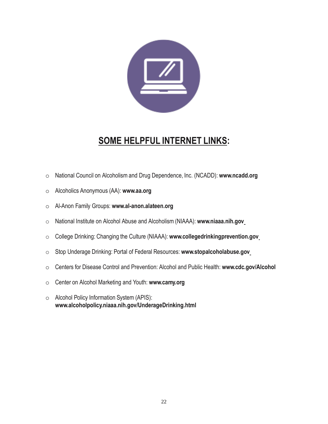

### **SOME HELPFUL INTERNET LINKS:**

- o National Council on Alcoholism and Drug Dependence, Inc. (NCADD): **[www.ncadd.org](http://www.ncadd.org/)**
- o Alcoholics Anonymous (AA): **[www.aa.org](http://www.aa.org/)**
- o Al-Anon Family Groups: **[www.al-anon.alateen.org](http://www.al-anon.alateen.org/)**
- o National Institute on Alcohol Abuse and Alcoholism (NIAAA): **[www.niaaa.nih.gov](http://www.niaaa.nih.gov/)**
- o College Drinking: Changing the Culture (NIAAA): **[www.collegedrinkingprevention.gov](http://www.collegedrinkingprevention.gov/)**
- o Stop Underage Drinking: Portal of Federal Resources: **[www.stopalcoholabuse.gov](http://www.stopalcoholabuse.gov/)**
- o Centers for Disease Control and Prevention: Alcohol and Public Health: **[www.cdc.gov/Alcohol](http://www.cdc.gov/Alcohol)**
- o Center on Alcohol Marketing and Youth: **[www.camy.org](http://www.camy.org/)**
- o Alcohol Policy Information System (APIS): **[www.alcoholpolicy.niaaa.nih.gov/UnderageDrinking.html](http://www.alcoholpolicy.niaaa.nih.gov/UnderageDrinking.html)**